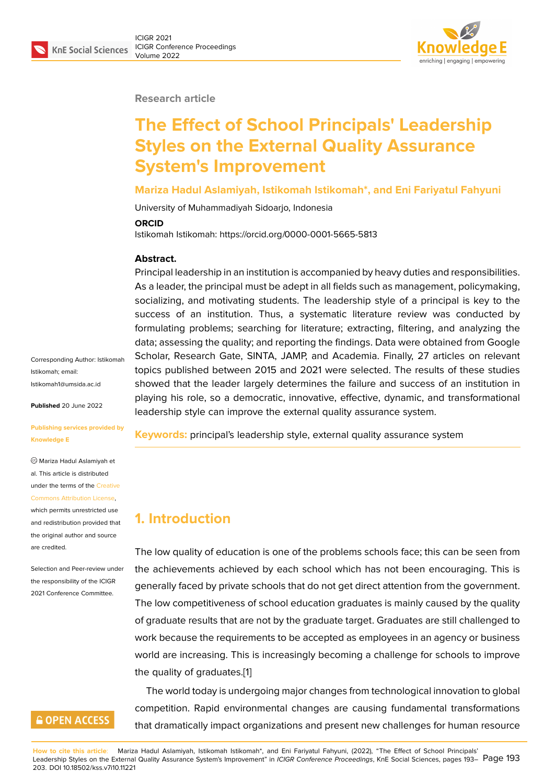#### **Research article**

# **The Effect of School Principals' Leadership Styles on the External Quality Assurance System's Improvement**

#### **Mariza Hadul Aslamiyah, Istikomah Istikomah\*, and Eni Fariyatul Fahyuni**

University of Muhammadiyah Sidoarjo, Indonesia

#### **ORCID**

Istikomah Istikomah: https://orcid.org/0000-0001-5665-5813

#### **Abstract.**

Principal leadership in an institution is accompanied by heavy duties and responsibilities. As a leader, the principal must be adept in all fields such as management, policymaking, socializing, and motivating students. The leadership style of a principal is key to the success of an institution. Thus, a systematic literature review was conducted by formulating problems; searching for literature; extracting, filtering, and analyzing the data; assessing the quality; and reporting the findings. Data were obtained from Google Scholar, Research Gate, SINTA, JAMP, and Academia. Finally, 27 articles on relevant topics published between 2015 and 2021 were selected. The results of these studies showed that the leader largely determines the failure and success of an institution in playing his role, so a democratic, innovative, effective, dynamic, and transformational leadership style can improve the external quality assurance system.

**Keywords:** principal's leadership style, external quality assurance system

### **1. Introduction**

The low quality of education is one of the problems schools face; this can be seen from the achievements achieved by each school which has not been encouraging. This is generally faced by private schools that do not get direct attention from the government. The low competitiveness of school education graduates is mainly caused by the quality of graduate results that are not by the graduate target. Graduates are still challenged to work because the requirements to be accepted as employees in an agency or business world are increasing. This is increasingly becoming a challenge for schools to improve the quality of graduates.[1]

The world today is undergoing major changes from technological innovation to global competition. Rapid environmental changes are causing fundamental transformations that dramatically impact [or](#page-8-0)ganizations and present new challenges for human resource

Corresponding Author: Istikomah Istikomah; email: Istikomah1@umsida.ac.id

**Published** 20 June 2022

#### **[Publishing services prov](mailto:Istikomah1@umsida.ac.id)ided by Knowledge E**

Mariza Hadul Aslamiyah et al. This article is distributed under the terms of the Creative Commons Attribution License,

which permits unrestricted use and redistribution provided that the original author and [source](https://creativecommons.org/licenses/by/4.0/) [are credited.](https://creativecommons.org/licenses/by/4.0/)

Selection and Peer-review under the responsibility of the ICIGR 2021 Conference Committee.

# **GOPEN ACCESS**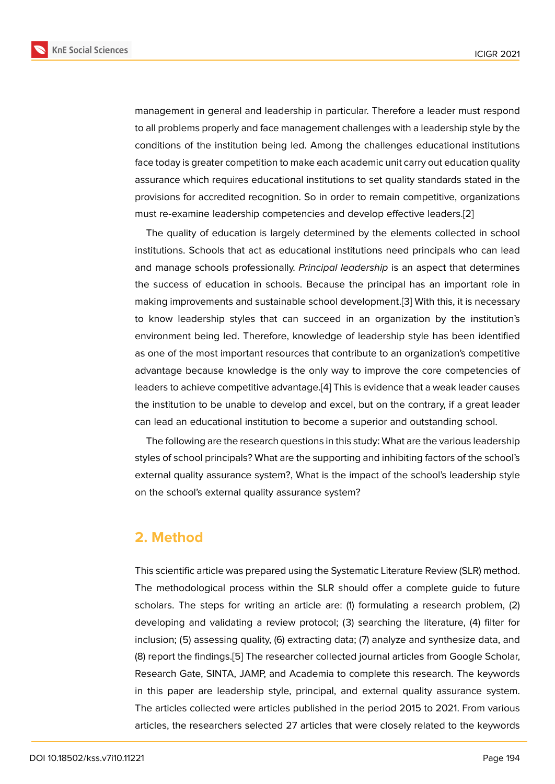management in general and leadership in particular. Therefore a leader must respond to all problems properly and face management challenges with a leadership style by the conditions of the institution being led. Among the challenges educational institutions face today is greater competition to make each academic unit carry out education quality assurance which requires educational institutions to set quality standards stated in the provisions for accredited recognition. So in order to remain competitive, organizations must re-examine leadership competencies and develop effective leaders.[2]

The quality of education is largely determined by the elements collected in school institutions. Schools that act as educational institutions need principals who can lead and manage schools professionally. *Principal leadership* is an aspect tha[t d](#page-8-1)etermines the success of education in schools. Because the principal has an important role in making improvements and sustainable school development.[3] With this, it is necessary to know leadership styles that can succeed in an organization by the institution's environment being led. Therefore, knowledge of leadership style has been identified as one of the most important resources that contribute to an [o](#page-8-2)rganization's competitive advantage because knowledge is the only way to improve the core competencies of leaders to achieve competitive advantage.[4] This is evidence that a weak leader causes the institution to be unable to develop and excel, but on the contrary, if a great leader can lead an educational institution to become a superior and outstanding school.

The following are the research question[s in](#page-8-3) this study: What are the various leadership styles of school principals? What are the supporting and inhibiting factors of the school's external quality assurance system?, What is the impact of the school's leadership style on the school's external quality assurance system?

#### **2. Method**

This scientific article was prepared using the Systematic Literature Review (SLR) method. The methodological process within the SLR should offer a complete guide to future scholars. The steps for writing an article are: (1) formulating a research problem, (2) developing and validating a review protocol; (3) searching the literature, (4) filter for inclusion; (5) assessing quality, (6) extracting data; (7) analyze and synthesize data, and (8) report the findings.[5] The researcher collected journal articles from Google Scholar, Research Gate, SINTA, JAMP, and Academia to complete this research. The keywords in this paper are leadership style, principal, and external quality assurance system. The articles collected [w](#page-8-4)ere articles published in the period 2015 to 2021. From various articles, the researchers selected 27 articles that were closely related to the keywords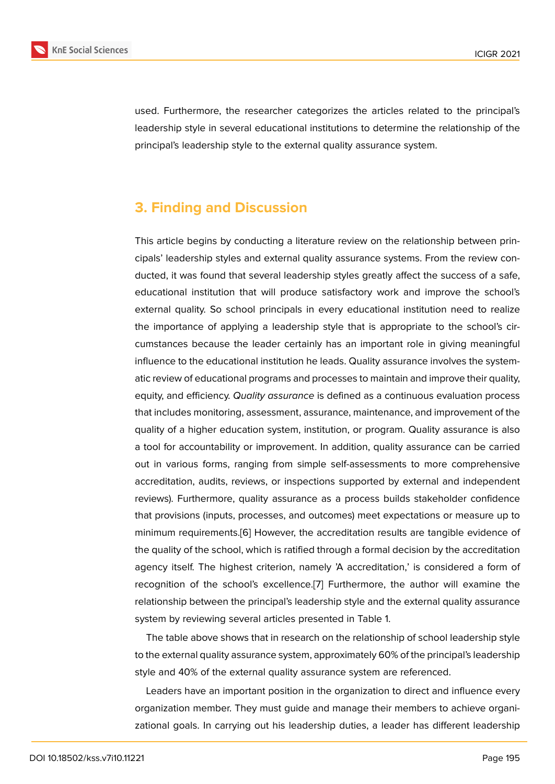used. Furthermore, the researcher categorizes the articles related to the principal's leadership style in several educational institutions to determine the relationship of the principal's leadership style to the external quality assurance system.

# **3. Finding and Discussion**

This article begins by conducting a literature review on the relationship between principals' leadership styles and external quality assurance systems. From the review conducted, it was found that several leadership styles greatly affect the success of a safe, educational institution that will produce satisfactory work and improve the school's external quality. So school principals in every educational institution need to realize the importance of applying a leadership style that is appropriate to the school's circumstances because the leader certainly has an important role in giving meaningful influence to the educational institution he leads. Quality assurance involves the systematic review of educational programs and processes to maintain and improve their quality, equity, and efficiency. *Quality assurance* is defined as a continuous evaluation process that includes monitoring, assessment, assurance, maintenance, and improvement of the quality of a higher education system, institution, or program. Quality assurance is also a tool for accountability or improvement. In addition, quality assurance can be carried out in various forms, ranging from simple self-assessments to more comprehensive accreditation, audits, reviews, or inspections supported by external and independent reviews). Furthermore, quality assurance as a process builds stakeholder confidence that provisions (inputs, processes, and outcomes) meet expectations or measure up to minimum requirements.[6] However, the accreditation results are tangible evidence of the quality of the school, which is ratified through a formal decision by the accreditation agency itself. The highest criterion, namely 'A accreditation,' is considered a form of recognition of the sch[oo](#page-8-5)l's excellence.[7] Furthermore, the author will examine the relationship between the principal's leadership style and the external quality assurance system by reviewing several articles presented in Table 1.

The table above shows that in researc[h](#page-8-6) on the relationship of school leadership style to the external quality assurance system, approximately 60% of the principal's leadership style and 40% of the external quality assurance system are referenced.

Leaders have an important position in the organization to direct and influence every organization member. They must guide and manage their members to achieve organizational goals. In carrying out his leadership duties, a leader has different leadership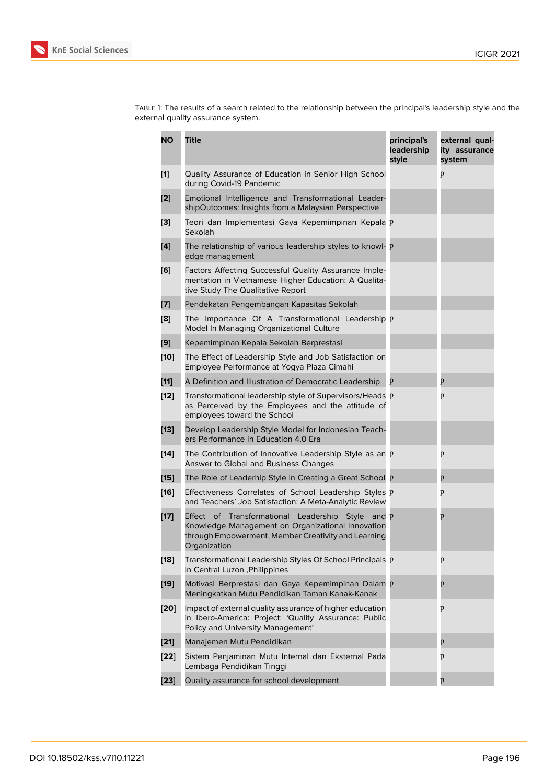Table 1: The results of a search related to the relationship between the principal's leadership style and the external quality assurance system.

| <b>NO</b>      | Title                                                                                                                                                                               | principal's<br>leadership<br>style | external qual-<br>ity assurance<br>system |
|----------------|-------------------------------------------------------------------------------------------------------------------------------------------------------------------------------------|------------------------------------|-------------------------------------------|
| $[1]$          | Quality Assurance of Education in Senior High School<br>during Covid-19 Pandemic                                                                                                    |                                    | p                                         |
| [2]            | Emotional Intelligence and Transformational Leader-<br>shipOutcomes: Insights from a Malaysian Perspective                                                                          |                                    |                                           |
| [3]            | Teori dan Implementasi Gaya Kepemimpinan Kepala p<br>Sekolah                                                                                                                        |                                    |                                           |
| $\mathbf{[4]}$ | The relationship of various leadership styles to knowl- p<br>edge management                                                                                                        |                                    |                                           |
| [6]            | Factors Affecting Successful Quality Assurance Imple-<br>mentation in Vietnamese Higher Education: A Qualita-<br>tive Study The Qualitative Report                                  |                                    |                                           |
| [7]            | Pendekatan Pengembangan Kapasitas Sekolah                                                                                                                                           |                                    |                                           |
| [8]            | The Importance Of A Transformational Leadership p<br>Model In Managing Organizational Culture                                                                                       |                                    |                                           |
| [9]            | Kepemimpinan Kepala Sekolah Berprestasi                                                                                                                                             |                                    |                                           |
| $[10]$         | The Effect of Leadership Style and Job Satisfaction on<br>Employee Performance at Yogya Plaza Cimahi                                                                                |                                    |                                           |
| $[11]$         | A Definition and Illustration of Democratic Leadership                                                                                                                              | p                                  | p                                         |
| $[12]$         | Transformational leadership style of Supervisors/Heads P<br>as Perceived by the Employees and the attitude of<br>employees toward the School                                        |                                    | p                                         |
| $[13]$         | Develop Leadership Style Model for Indonesian Teach-<br>ers Performance in Education 4.0 Era                                                                                        |                                    |                                           |
| $[14]$         | The Contribution of Innovative Leadership Style as an P<br>Answer to Global and Business Changes                                                                                    |                                    | p                                         |
| $[15]$         | The Role of Leaderhip Style in Creating a Great School p                                                                                                                            |                                    | p                                         |
| [16]           | Effectiveness Correlates of School Leadership Styles p<br>and Teachers' Job Satisfaction: A Meta-Analytic Review                                                                    |                                    | p                                         |
| $[17]$         | Effect of Transformational Leadership<br>Style<br>and p<br>Knowledge Management on Organizational Innovation<br>through Empowerment, Member Creativity and Learning<br>Organization |                                    | p                                         |
| [18]           | Transformational Leadership Styles Of School Principals p<br>In Central Luzon, Philippines                                                                                          |                                    | p                                         |
| $[19]$         | Motivasi Berprestasi dan Gaya Kepemimpinan Dalam p<br>Meningkatkan Mutu Pendidikan Taman Kanak-Kanak                                                                                |                                    | p                                         |
| [20]           | Impact of external quality assurance of higher education<br>in Ibero-America: Project: 'Quality Assurance: Public<br>Policy and University Management'                              |                                    | p                                         |
| $[21]$         | Manajemen Mutu Pendidikan                                                                                                                                                           |                                    | p                                         |
| [22]           | Sistem Penjaminan Mutu Internal dan Eksternal Pada<br>Lembaga Pendidikan Tinggi                                                                                                     |                                    | p                                         |
| $[23]$         | Quality assurance for school development                                                                                                                                            |                                    | p                                         |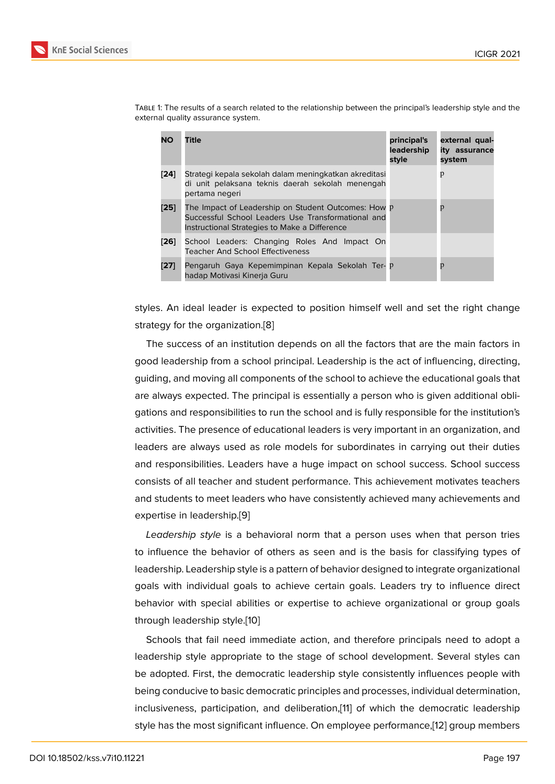Table 1: The results of a search related to the relationship between the principal's leadership style and the external quality assurance system.

| <b>NO</b> | <b>Title</b>                                                                                                                                               | principal's<br>leadership<br>style | external qual-<br>ity assurance<br>system |
|-----------|------------------------------------------------------------------------------------------------------------------------------------------------------------|------------------------------------|-------------------------------------------|
| [24]      | Strategi kepala sekolah dalam meningkatkan akreditasi<br>di unit pelaksana teknis daerah sekolah menengah<br>pertama negeri                                |                                    | p                                         |
| [25]      | The Impact of Leadership on Student Outcomes: How P<br>Successful School Leaders Use Transformational and<br>Instructional Strategies to Make a Difference |                                    | p                                         |
| [26]      | School Leaders: Changing Roles And Impact On<br><b>Teacher And School Effectiveness</b>                                                                    |                                    |                                           |
| [27]      | Pengaruh Gaya Kepemimpinan Kepala Sekolah Ter- P<br>hadap Motivasi Kinerja Guru                                                                            |                                    | p                                         |

styles. [A](#page-10-0)n ideal leader is expected to position himself well and set the right change strategy for the organization.[8]

The success of an institution depends on all the factors that are the main factors in good leadership from a school principal. Leadership is the act of influencing, directing, guiding, and moving all comp[on](#page-8-7)ents of the school to achieve the educational goals that are always expected. The principal is essentially a person who is given additional obligations and responsibilities to run the school and is fully responsible for the institution's activities. The presence of educational leaders is very important in an organization, and leaders are always used as role models for subordinates in carrying out their duties and responsibilities. Leaders have a huge impact on school success. School success consists of all teacher and student performance. This achievement motivates teachers and students to meet leaders who have consistently achieved many achievements and expertise in leadership.[9]

*Leadership style* is a behavioral norm that a person uses when that person tries to influence the behavior of others as seen and is the basis for classifying types of leadership. Leadership [sty](#page-8-8)le is a pattern of behavior designed to integrate organizational goals with individual goals to achieve certain goals. Leaders try to influence direct behavior with special abilities or expertise to achieve organizational or group goals through leadership style.[10]

Schools that fail need immediate action, and therefore principals need to adopt a leadership style appropriate to the stage of school development. Several styles can be adopted. First, the de[mo](#page-8-9)cratic leadership style consistently influences people with being conducive to basic democratic principles and processes, individual determination, inclusiveness, participation, and deliberation,[11] of which the democratic leadership style has the most significant influence. On employee performance,[12] group members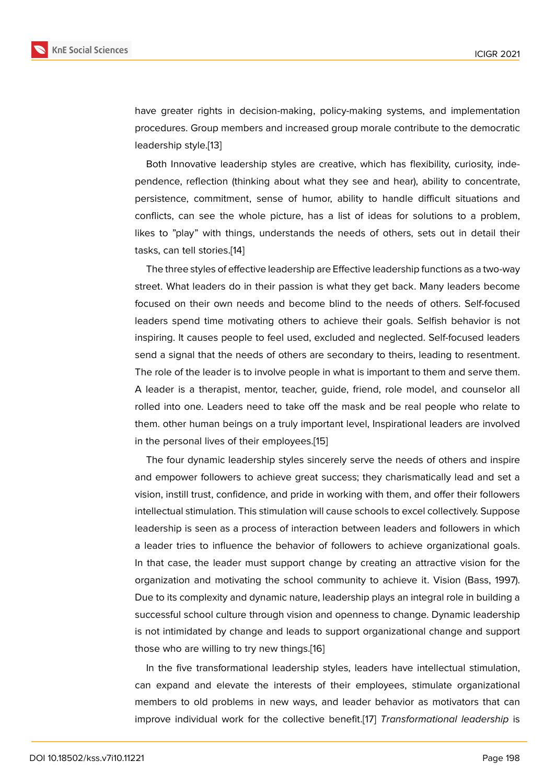have greater rights in decision-making, policy-making systems, and implementation procedures. Group members and increased group morale contribute to the democratic leadership style.[13]

Both Innovative leadership styles are creative, which has flexibility, curiosity, independence, reflection (thinking about what they see and hear), ability to concentrate, persistence, co[mm](#page-9-0)itment, sense of humor, ability to handle difficult situations and conflicts, can see the whole picture, has a list of ideas for solutions to a problem, likes to "play" with things, understands the needs of others, sets out in detail their tasks, can tell stories.[14]

The three styles of effective leadership are Effective leadership functions as a two-way street. What leaders do in their passion is what they get back. Many leaders become focused on their own [ne](#page-9-1)eds and become blind to the needs of others. Self-focused leaders spend time motivating others to achieve their goals. Selfish behavior is not inspiring. It causes people to feel used, excluded and neglected. Self-focused leaders send a signal that the needs of others are secondary to theirs, leading to resentment. The role of the leader is to involve people in what is important to them and serve them. A leader is a therapist, mentor, teacher, guide, friend, role model, and counselor all rolled into one. Leaders need to take off the mask and be real people who relate to them. other human beings on a truly important level, Inspirational leaders are involved in the personal lives of their employees.[15]

The four dynamic leadership styles sincerely serve the needs of others and inspire and empower followers to achieve great success; they charismatically lead and set a vision, instill trust, confidence, and pride [in](#page-9-2) working with them, and offer their followers intellectual stimulation. This stimulation will cause schools to excel collectively. Suppose leadership is seen as a process of interaction between leaders and followers in which a leader tries to influence the behavior of followers to achieve organizational goals. In that case, the leader must support change by creating an attractive vision for the organization and motivating the school community to achieve it. Vision (Bass, 1997). Due to its complexity and dynamic nature, leadership plays an integral role in building a successful school culture through vision and openness to change. Dynamic leadership is not intimidated by change and leads to support organizational change and support those who are willing to try new things.[16]

In the five transformational leadership styles, leaders have intellectual stimulation, can expand and elevate the interests of their employees, stimulate organizational members to old problems in new way[s, a](#page-9-6)nd leader behavior as motivators that can improve individual work for the collective benefit.[17] *Transformational leadership* is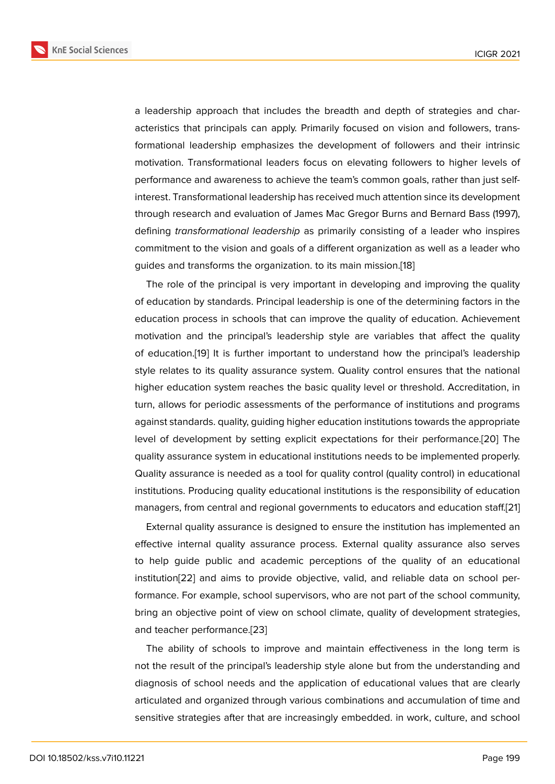a leadership approach that includes the breadth and depth of strategies and characteristics that principals can apply. Primarily focused on vision and followers, transformational leadership emphasizes the development of followers and their intrinsic motivation. Transformational leaders focus on elevating followers to higher levels of performance and awareness to achieve the team's common goals, rather than just selfinterest. Transformational leadership has received much attention since its development through research and evaluation of James Mac Gregor Burns and Bernard Bass (1997), defining *transformational leadership* as primarily consisting of a leader who inspires commitment to the vision and goals of a different organization as well as a leader who guides and transforms the organization. to its main mission.[18]

The role of the principal is very important in developing and improving the quality of education by standards. Principal leadership is one of the determining factors in the education process in schools that can improve the quality [of e](#page-9-4)ducation. Achievement motivation and the principal's leadership style are variables that affect the quality of education.[19] It is further important to understand how the principal's leadership style relates to its quality assurance system. Quality control ensures that the national higher education system reaches the basic quality level or threshold. Accreditation, in turn, allows f[or p](#page-9-7)eriodic assessments of the performance of institutions and programs against standards. quality, guiding higher education institutions towards the appropriate level of development by setting explicit expectations for their performance.[20] The quality assurance system in educational institutions needs to be implemented properly. Quality assurance is needed as a tool for quality control (quality control) in educational institutions. Producing quality educational institutions is the responsibility of e[duc](#page-9-5)ation managers, from central and regional governments to educators and education staff.[21]

External quality assurance is designed to ensure the institution has implemented an effective internal quality assurance process. External quality assurance also serves to help guide public and academic perceptions of the quality of an educatio[nal](#page-9-8) institution[22] and aims to provide objective, valid, and reliable data on school performance. For example, school supervisors, who are not part of the school community, bring an objective point of view on school climate, quality of development strategies, and teach[er p](#page-9-9)erformance.[23]

The ability of schools to improve and maintain effectiveness in the long term is not the result of the principal's leadership style alone but from the understanding and diagnosis of school need[s an](#page-9-10)d the application of educational values that are clearly articulated and organized through various combinations and accumulation of time and sensitive strategies after that are increasingly embedded. in work, culture, and school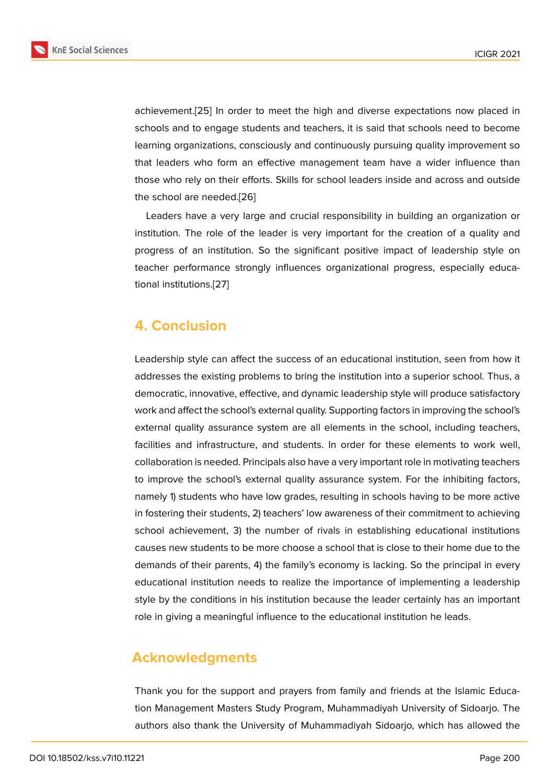achievement.[25] In order to meet the high and diverse expectations now placed in schools and to engage students and teachers, it is said that schools need to become learning organizations, consciously and continuously pursuing quality improvement so that leaders [who](#page-9-11) form an effective management team have a wider influence than those who rely on their efforts. Skills for school leaders inside and across and outside the school are needed.[26]

Leaders have a very large and crucial responsibility in building an organization or institution. The role of the leader is very important for the creation of a quality and progress of an instituti[on.](#page-10-1) So the significant positive impact of leadership style on teacher performance strongly influences organizational progress, especially educational institutions.[27]

### **4. Conclusi[on](#page-10-0)**

Leadership style can affect the success of an educational institution, seen from how it addresses the existing problems to bring the institution into a superior school. Thus, a democratic, innovative, effective, and dynamic leadership style will produce satisfactory work and affect the school's external quality. Supporting factors in improving the school's external quality assurance system are all elements in the school, including teachers, facilities and infrastructure, and students. In order for these elements to work well, collaboration is needed. Principals also have a very important role in motivating teachers to improve the school's external quality assurance system. For the inhibiting factors, namely 1) students who have low grades, resulting in schools having to be more active in fostering their students, 2) teachers' low awareness of their commitment to achieving school achievement, 3) the number of rivals in establishing educational institutions causes new students to be more choose a school that is close to their home due to the demands of their parents, 4) the family's economy is lacking. So the principal in every educational institution needs to realize the importance of implementing a leadership style by the conditions in his institution because the leader certainly has an important role in giving a meaningful influence to the educational institution he leads.

### **Acknowledgments**

Thank you for the support and prayers from family and friends at the Islamic Education Management Masters Study Program, Muhammadiyah University of Sidoarjo. The authors also thank the University of Muhammadiyah Sidoarjo, which has allowed the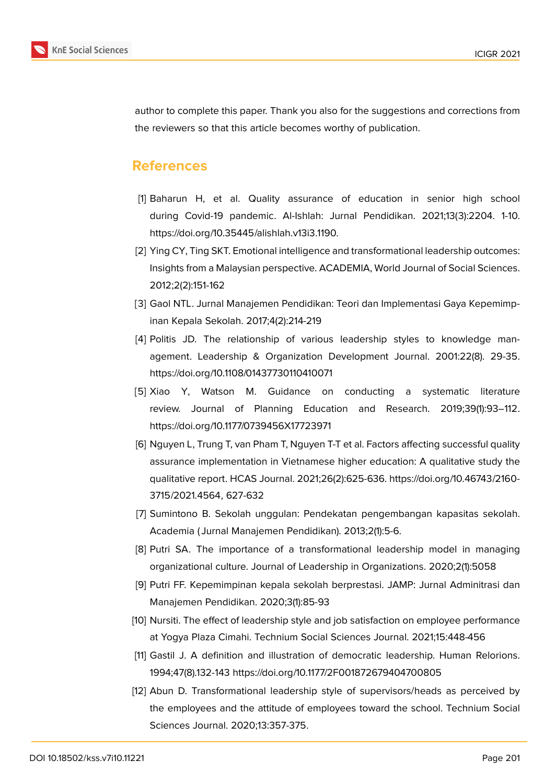

author to complete this paper. Thank you also for the suggestions and corrections from the reviewers so that this article becomes worthy of publication.

#### **References**

- <span id="page-8-0"></span>[1] Baharun H, et al. Quality assurance of education in senior high school during Covid-19 pandemic. Al-Ishlah: Jurnal Pendidikan. 2021;13(3):2204. 1-10. https://doi.org/10.35445/alishlah.v13i3.1190.
- <span id="page-8-1"></span>[2] Ying CY, Ting SKT. Emotional intelligence and transformational leadership outcomes: Insights from a Malaysian perspective. ACADEMIA, World Journal of Social Sciences. 2012;2(2):151-162
- <span id="page-8-2"></span>[3] Gaol NTL. Jurnal Manajemen Pendidikan: Teori dan Implementasi Gaya Kepemimpinan Kepala Sekolah. 2017;4(2):214-219
- <span id="page-8-3"></span>[4] Politis JD. The relationship of various leadership styles to knowledge management. Leadership & Organization Development Journal. 2001:22(8). 29-35. https://doi.org/10.1108/01437730110410071
- <span id="page-8-4"></span>[5] Xiao Y, Watson M. Guidance on conducting a systematic literature review. Journal of Planning Education and Research. 2019;39(1):93–112. https://doi.org/10.1177/0739456X17723971
- <span id="page-8-5"></span>[6] Nguyen L, Trung T, van Pham T, Nguyen T-T et al. Factors affecting successful quality assurance implementation in Vietnamese higher education: A qualitative study the qualitative report. HCAS Journal. 2021;26(2):625-636. https://doi.org/10.46743/2160- 3715/2021.4564, 627-632
- <span id="page-8-6"></span>[7] Sumintono B. Sekolah unggulan: Pendekatan pengembangan kapasitas sekolah. Academia ( Jurnal Manajemen Pendidikan). 2013;2(1):5-6.
- <span id="page-8-7"></span>[8] Putri SA. The importance of a transformational leadership model in managing organizational culture. Journal of Leadership in Organizations. 2020;2(1):5058
- <span id="page-8-8"></span>[9] Putri FF. Kepemimpinan kepala sekolah berprestasi. JAMP: Jurnal Adminitrasi dan Manajemen Pendidikan. 2020;3(1):85-93
- <span id="page-8-9"></span>[10] Nursiti. The effect of leadership style and job satisfaction on employee performance at Yogya Plaza Cimahi. Technium Social Sciences Journal. 2021;15:448-456
- <span id="page-8-10"></span>[11] Gastil J. A definition and illustration of democratic leadership. Human Relorions. 1994;47(8).132-143 https://doi.org/10.1177/2F001872679404700805
- [12] Abun D. Transformational leadership style of supervisors/heads as perceived by the employees and the attitude of employees toward the school. Technium Social Sciences Journal. 2020;13:357-375.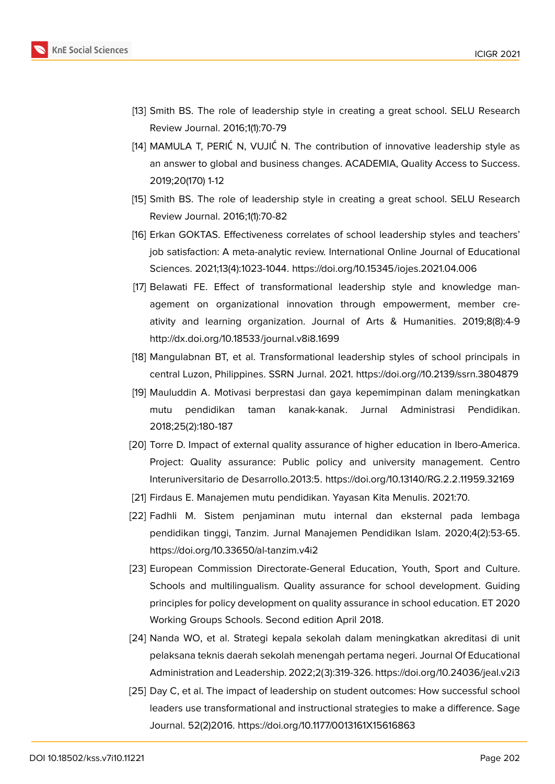

- <span id="page-9-0"></span>[13] Smith BS. The role of leadership style in creating a great school. SELU Research Review Journal. 2016;1(1):70-79
- <span id="page-9-1"></span>[14] MAMULA T, PERIĆ N, VUJIĆ N. The contribution of innovative leadership style as an answer to global and business changes. ACADEMIA, Quality Access to Success. 2019;20(170) 1-12
- <span id="page-9-2"></span>[15] Smith BS. The role of leadership style in creating a great school. SELU Research Review Journal. 2016;1(1):70-82
- <span id="page-9-6"></span>[16] Erkan GOKTAS. Effectiveness correlates of school leadership styles and teachers' job satisfaction: A meta-analytic review. International Online Journal of Educational Sciences. 2021;13(4):1023-1044. https://doi.org/10.15345/iojes.2021.04.006
- <span id="page-9-3"></span>[17] Belawati FE. Effect of transformational leadership style and knowledge management on organizational innovation through empowerment, member creativity and learning organization. Journal of Arts & Humanities. 2019;8(8):4-9 http://dx.doi.org/10.18533/journal.v8i8.1699
- <span id="page-9-4"></span>[18] Mangulabnan BT, et al. Transformational leadership styles of school principals in central Luzon, Philippines. SSRN Jurnal. 2021. https://doi.org//10.2139/ssrn.3804879
- <span id="page-9-7"></span>[19] Mauluddin A. Motivasi berprestasi dan gaya kepemimpinan dalam meningkatkan mutu pendidikan taman kanak-kanak. Jurnal Administrasi Pendidikan. 2018;25(2):180-187
- <span id="page-9-5"></span>[20] Torre D. Impact of external quality assurance of higher education in Ibero-America. Project: Quality assurance: Public policy and university management. Centro Interuniversitario de Desarrollo.2013:5. https://doi.org/10.13140/RG.2.2.11959.32169
- <span id="page-9-9"></span><span id="page-9-8"></span>[21] Firdaus E. Manajemen mutu pendidikan. Yayasan Kita Menulis. 2021:70.
- [22] Fadhli M. Sistem penjaminan mutu internal dan eksternal pada lembaga pendidikan tinggi, Tanzim. Jurnal Manajemen Pendidikan Islam. 2020;4(2):53-65. https://doi.org/10.33650/al-tanzim.v4i2
- <span id="page-9-10"></span>[23] European Commission Directorate-General Education, Youth, Sport and Culture. Schools and multilingualism. Quality assurance for school development. Guiding principles for policy development on quality assurance in school education. ET 2020 Working Groups Schools. Second edition April 2018.
- [24] Nanda WO, et al. Strategi kepala sekolah dalam meningkatkan akreditasi di unit pelaksana teknis daerah sekolah menengah pertama negeri. Journal Of Educational Administration and Leadership. 2022;2(3):319-326. https://doi.org/10.24036/jeal.v2i3
- <span id="page-9-11"></span>[25] Day C, et al. The impact of leadership on student outcomes: How successful school leaders use transformational and instructional strategies to make a difference. Sage Journal. 52(2)2016. https://doi.org/10.1177/0013161X15616863